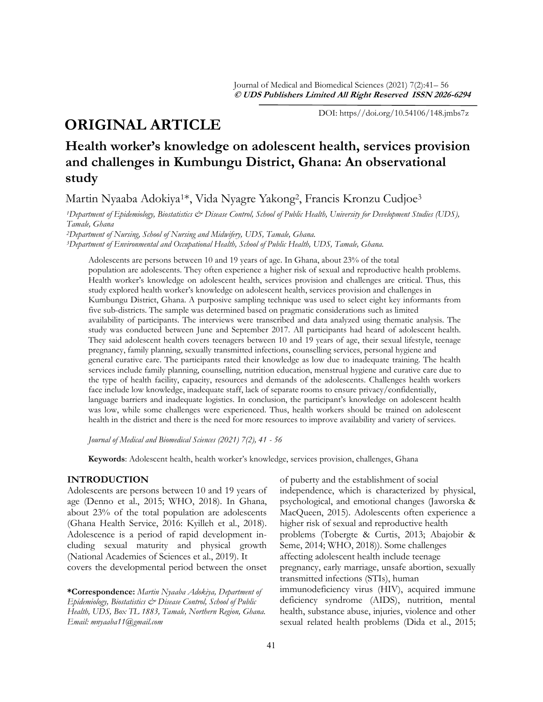# **ORIGINAL ARTICLE**

DOI: https//doi.org/10.54106/148.jmbs7z

# **Health worker's knowledge on adolescent health, services provision and challenges in Kumbungu District, Ghana: An observational study**

Martin Nyaaba Adokiya1\*, Vida Nyagre Yakong2, Francis Kronzu Cudjoe<sup>3</sup>

*<sup>1</sup>Department of Epidemiology, Biostatistics & Disease Control, School of Public Health, University for Development Studies (UDS), Tamale, Ghana*

*<sup>2</sup>Department of Nursing, School of Nursing and Midwifery, UDS, Tamale, Ghana.*

*<sup>3</sup>Department of Environmental and Occupational Health, School of Public Health, UDS, Tamale, Ghana.* 

Adolescents are persons between 10 and 19 years of age. In Ghana, about 23% of the total population are adolescents. They often experience a higher risk of sexual and reproductive health problems. Health worker's knowledge on adolescent health, services provision and challenges are critical. Thus, this study explored health worker's knowledge on adolescent health, services provision and challenges in Kumbungu District, Ghana. A purposive sampling technique was used to select eight key informants from five sub-districts. The sample was determined based on pragmatic considerations such as limited availability of participants. The interviews were transcribed and data analyzed using thematic analysis. The study was conducted between June and September 2017. All participants had heard of adolescent health. They said adolescent health covers teenagers between 10 and 19 years of age, their sexual lifestyle, teenage pregnancy, family planning, sexually transmitted infections, counselling services, personal hygiene and general curative care. The participants rated their knowledge as low due to inadequate training. The health services include family planning, counselling, nutrition education, menstrual hygiene and curative care due to the type of health facility, capacity, resources and demands of the adolescents. Challenges health workers face include low knowledge, inadequate staff, lack of separate rooms to ensure privacy/confidentially, language barriers and inadequate logistics. In conclusion, the participant's knowledge on adolescent health was low, while some challenges were experienced. Thus, health workers should be trained on adolescent health in the district and there is the need for more resources to improve availability and variety of services.

*Journal of Medical and Biomedical Sciences (2021) 7(2), 41 - 56*

**Keywords**: Adolescent health, health worker's knowledge, services provision, challenges, Ghana

## **INTRODUCTION**

Adolescents are persons between 10 and 19 years of age (Denno et al., 2015; WHO, 2018). In Ghana, about 23% of the total population are adolescents (Ghana Health Service, 2016: Kyilleh et al., 2018). Adolescence is a period of rapid development including sexual maturity and physical growth (National Academies of Sciences et al., 2019). It covers the developmental period between the onset

**\*Correspondence:** *Martin Nyaaba Adokiya, Department of Epidemiology, Biostatistics & Disease Control, School of Public Health, UDS, Box TL 1883, Tamale, Northern Region, Ghana. Email: mnyaaba11@gmail.com* 

of puberty and the establishment of social independence, which is characterized by physical, psychological, and emotional changes (Jaworska & MacQueen, 2015). Adolescents often experience a higher risk of sexual and reproductive health problems (Tobergte & Curtis, 2013; Abajobir & Seme, 2014; WHO, 2018)). Some challenges affecting adolescent health include teenage pregnancy, early marriage, unsafe abortion, sexually transmitted infections (STIs), human immunodeficiency virus (HIV), acquired immune deficiency syndrome (AIDS), nutrition, mental health, substance abuse, injuries, violence and other sexual related health problems (Dida et al., 2015;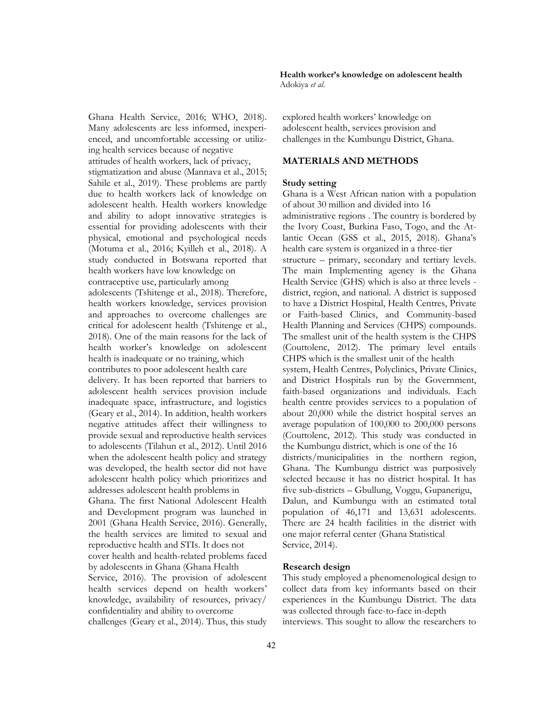Ghana Health Service, 2016; WHO, 2018). Many adolescents are less informed, inexperienced, and uncomfortable accessing or utilizing health services because of negative attitudes of health workers, lack of privacy, stigmatization and abuse (Mannava et al., 2015; Sahile et al., 2019). These problems are partly due to health workers lack of knowledge on adolescent health. Health workers knowledge and ability to adopt innovative strategies is essential for providing adolescents with their physical, emotional and psychological needs (Motuma et al., 2016; Kyilleh et al., 2018). A study conducted in Botswana reported that health workers have low knowledge on contraceptive use, particularly among adolescents (Tshitenge et al., 2018). Therefore, health workers knowledge, services provision and approaches to overcome challenges are critical for adolescent health (Tshitenge et al., 2018). One of the main reasons for the lack of health worker's knowledge on adolescent health is inadequate or no training, which contributes to poor adolescent health care delivery. It has been reported that barriers to adolescent health services provision include inadequate space, infrastructure, and logistics (Geary et al., 2014). In addition, health workers negative attitudes affect their willingness to provide sexual and reproductive health services to adolescents (Tilahun et al., 2012). Until 2016 when the adolescent health policy and strategy was developed, the health sector did not have adolescent health policy which prioritizes and addresses adolescent health problems in Ghana. The first National Adolescent Health and Development program was launched in 2001 (Ghana Health Service, 2016). Generally, the health services are limited to sexual and reproductive health and STIs. It does not cover health and health-related problems faced by adolescents in Ghana (Ghana Health Service, 2016). The provision of adolescent health services depend on health workers' knowledge, availability of resources, privacy/ confidentiality and ability to overcome challenges (Geary et al., 2014). Thus, this study **Health worker's knowledge on adolescent health**  Adokiya *et al*.

explored health workers' knowledge on adolescent health, services provision and challenges in the Kumbungu District, Ghana.

## **MATERIALS AND METHODS**

### **Study setting**

Ghana is a West African nation with a population of about 30 million and divided into 16 administrative regions . The country is bordered by the Ivory Coast, Burkina Faso, Togo, and the Atlantic Ocean (GSS et al., 2015, 2018). Ghana's health care system is organized in a three-tier structure – primary, secondary and tertiary levels. The main Implementing agency is the Ghana Health Service (GHS) which is also at three levels district, region, and national. A district is supposed to have a District Hospital, Health Centres, Private or Faith-based Clinics, and Community-based Health Planning and Services (CHPS) compounds. The smallest unit of the health system is the CHPS (Couttolenc, 2012). The primary level entails CHPS which is the smallest unit of the health system, Health Centres, Polyclinics, Private Clinics, and District Hospitals run by the Government, faith-based organizations and individuals. Each health centre provides services to a population of about 20,000 while the district hospital serves an average population of 100,000 to 200,000 persons (Couttolenc, 2012). This study was conducted in the Kumbungu district, which is one of the 16 districts/municipalities in the northern region, Ghana. The Kumbungu district was purposively selected because it has no district hospital. It has five sub-districts – Gbullung, Voggu, Gupanerigu, Dalun, and Kumbungu with an estimated total population of 46,171 and 13,631 adolescents. There are 24 health facilities in the district with one major referral center (Ghana Statistical Service, 2014).

### **Research design**

This study employed a phenomenological design to collect data from key informants based on their experiences in the Kumbungu District. The data was collected through face-to-face in-depth interviews. This sought to allow the researchers to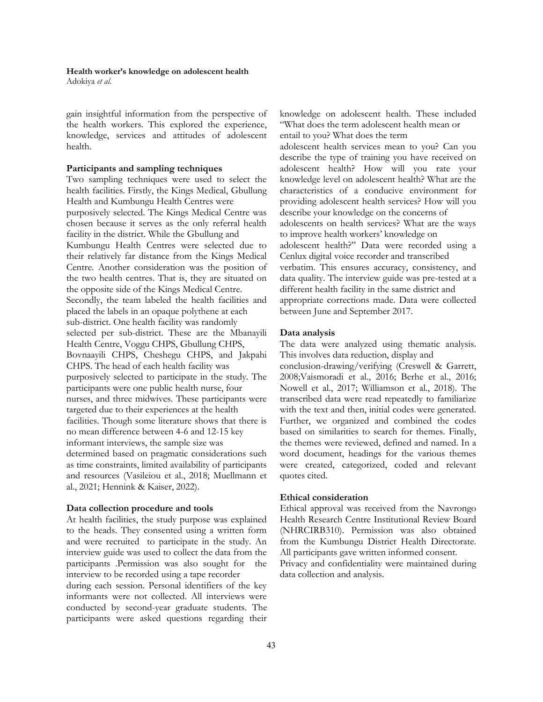Adokiya *et al*.

gain insightful information from the perspective of the health workers. This explored the experience, knowledge, services and attitudes of adolescent health.

#### **Participants and sampling techniques**

Two sampling techniques were used to select the health facilities. Firstly, the Kings Medical, Gbullung Health and Kumbungu Health Centres were purposively selected. The Kings Medical Centre was chosen because it serves as the only referral health facility in the district. While the Gbullung and Kumbungu Health Centres were selected due to their relatively far distance from the Kings Medical Centre. Another consideration was the position of the two health centres. That is, they are situated on the opposite side of the Kings Medical Centre. Secondly, the team labeled the health facilities and placed the labels in an opaque polythene at each sub-district. One health facility was randomly selected per sub-district. These are the Mbanayili Health Centre, Voggu CHPS, Gbullung CHPS, Bovnaayili CHPS, Cheshegu CHPS, and Jakpahi CHPS. The head of each health facility was purposively selected to participate in the study. The participants were one public health nurse, four nurses, and three midwives. These participants were targeted due to their experiences at the health facilities. Though some literature shows that there is no mean difference between 4-6 and 12-15 key informant interviews, the sample size was determined based on pragmatic considerations such as time constraints, limited availability of participants and resources (Vasileiou et al., 2018; Muellmann et al., 2021; Hennink & Kaiser, 2022).

#### **Data collection procedure and tools**

At health facilities, the study purpose was explained to the heads. They consented using a written form and were recruited to participate in the study. An interview guide was used to collect the data from the participants .Permission was also sought for the interview to be recorded using a tape recorder during each session. Personal identifiers of the key informants were not collected. All interviews were conducted by second-year graduate students. The participants were asked questions regarding their knowledge on adolescent health. These included "What does the term adolescent health mean or entail to you? What does the term

adolescent health services mean to you? Can you describe the type of training you have received on adolescent health? How will you rate your knowledge level on adolescent health? What are the characteristics of a conducive environment for providing adolescent health services? How will you describe your knowledge on the concerns of adolescents on health services? What are the ways to improve health workers' knowledge on adolescent health?" Data were recorded using a Cenlux digital voice recorder and transcribed verbatim. This ensures accuracy, consistency, and data quality. The interview guide was pre-tested at a different health facility in the same district and appropriate corrections made. Data were collected between June and September 2017.

#### **Data analysis**

The data were analyzed using thematic analysis. This involves data reduction, display and

conclusion-drawing/verifying (Creswell & Garrett, 2008;Vaismoradi et al., 2016; Berhe et al., 2016; Nowell et al., 2017; Williamson et al., 2018). The transcribed data were read repeatedly to familiarize with the text and then, initial codes were generated. Further, we organized and combined the codes based on similarities to search for themes. Finally, the themes were reviewed, defined and named. In a word document, headings for the various themes were created, categorized, coded and relevant quotes cited.

#### **Ethical consideration**

Ethical approval was received from the Navrongo Health Research Centre Institutional Review Board (NHRCIRB310). Permission was also obtained from the Kumbungu District Health Directorate. All participants gave written informed consent.

Privacy and confidentiality were maintained during data collection and analysis.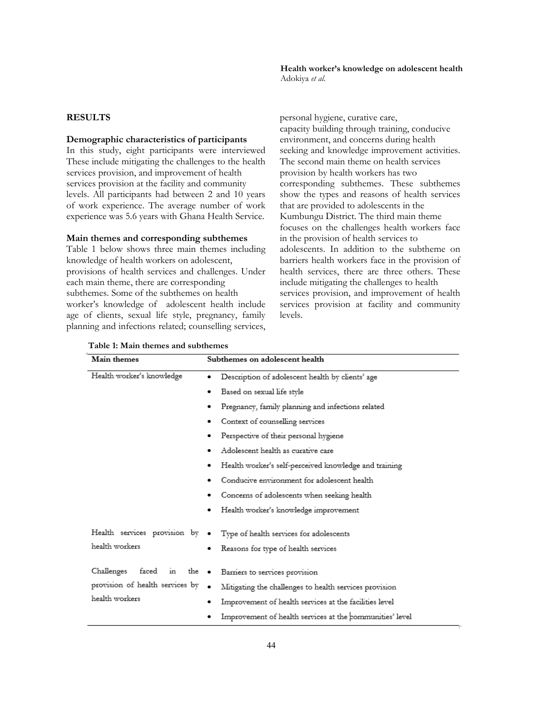## **RESULTS**

#### **Demographic characteristics of participants**

In this study, eight participants were interviewed These include mitigating the challenges to the health services provision, and improvement of health services provision at the facility and community levels. All participants had between 2 and 10 years of work experience. The average number of work experience was 5.6 years with Ghana Health Service.

## **Main themes and corresponding subthemes**

Table 1 below shows three main themes including knowledge of health workers on adolescent, provisions of health services and challenges. Under each main theme, there are corresponding subthemes. Some of the subthemes on health worker's knowledge of adolescent health include age of clients, sexual life style, pregnancy, family planning and infections related; counselling services,

personal hygiene, curative care, capacity building through training, conducive environment, and concerns during health seeking and knowledge improvement activities. The second main theme on health services provision by health workers has two corresponding subthemes. These subthemes show the types and reasons of health services that are provided to adolescents in the Kumbungu District. The third main theme focuses on the challenges health workers face in the provision of health services to adolescents. In addition to the subtheme on barriers health workers face in the provision of health services, there are three others. These include mitigating the challenges to health services provision, and improvement of health services provision at facility and community levels.

| Table 1: Main themes and subthemes |  |  |
|------------------------------------|--|--|
|------------------------------------|--|--|

| Main themes                                                                                         | Subthemes on adolescent health                                                                        |
|-----------------------------------------------------------------------------------------------------|-------------------------------------------------------------------------------------------------------|
| Health worker's knowledge                                                                           | Description of adolescent health by clients' age<br>٠                                                 |
|                                                                                                     | Based on sexual life style<br>٠                                                                       |
|                                                                                                     | Pregnancy, family planning and infections related<br>٠                                                |
|                                                                                                     | Context of counselling services<br>٠                                                                  |
|                                                                                                     | Perspective of their personal hygiene<br>٠                                                            |
|                                                                                                     | Adolescent health as curative care<br>٠                                                               |
|                                                                                                     | Health worker's self-perceived knowledge and training<br>٠                                            |
|                                                                                                     | Conducive environment for adolescent health<br>٠                                                      |
|                                                                                                     | Concerns of adolescents when seeking health<br>٠                                                      |
|                                                                                                     | Health worker's knowledge improvement<br>٠                                                            |
| Health services provision by<br>health workers                                                      | Type of health services for adolescents<br>٠<br>Reasons for type of health services<br>٠              |
| faced<br>$\sin$<br>Challenges<br>the $\bullet$<br>provision of health services by<br>health workers | Barriers to services provision<br>Mitigating the challenges to health services provision<br>$\bullet$ |
|                                                                                                     | Improvement of health services at the facilities level<br>٠                                           |
|                                                                                                     | Improvement of health services at the communities' level<br>٠                                         |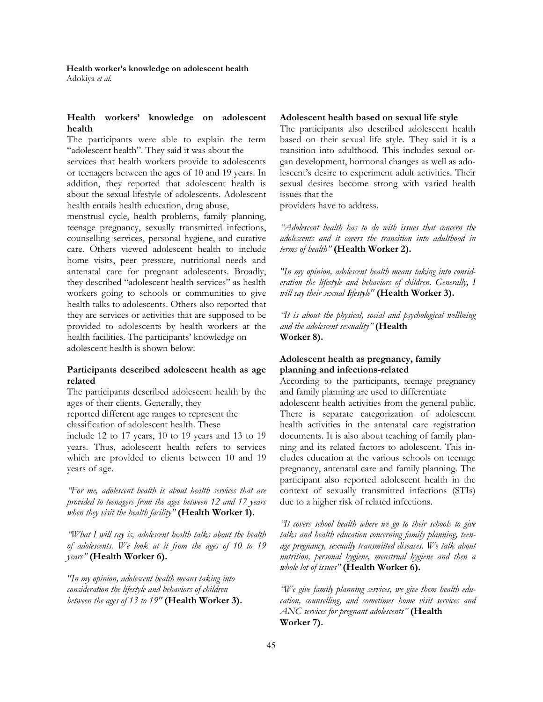# **Health workers' knowledge on adolescent health**

The participants were able to explain the term "adolescent health". They said it was about the

services that health workers provide to adolescents or teenagers between the ages of 10 and 19 years. In addition, they reported that adolescent health is about the sexual lifestyle of adolescents. Adolescent health entails health education, drug abuse,

menstrual cycle, health problems, family planning, teenage pregnancy, sexually transmitted infections, counselling services, personal hygiene, and curative care. Others viewed adolescent health to include home visits, peer pressure, nutritional needs and antenatal care for pregnant adolescents. Broadly, they described "adolescent health services" as health workers going to schools or communities to give health talks to adolescents. Others also reported that they are services or activities that are supposed to be provided to adolescents by health workers at the health facilities. The participants' knowledge on adolescent health is shown below.

## **Participants described adolescent health as age related**

The participants described adolescent health by the ages of their clients. Generally, they

reported different age ranges to represent the classification of adolescent health. These

include 12 to 17 years, 10 to 19 years and 13 to 19 years. Thus, adolescent health refers to services which are provided to clients between 10 and 19 years of age.

*"For me, adolescent health is about health services that are provided to teenagers from the ages between 12 and 17 years when they visit the health facility"* **(Health Worker 1).**

*"What I will say is, adolescent health talks about the health of adolescents. We look at it from the ages of 10 to 19 years"* **(Health Worker 6).** 

*"In my opinion, adolescent health means taking into consideration the lifestyle and behaviors of children between the ages of 13 to 19"* **(Health Worker 3).**

#### **Adolescent health based on sexual life style**

The participants also described adolescent health based on their sexual life style. They said it is a transition into adulthood. This includes sexual organ development, hormonal changes as well as adolescent's desire to experiment adult activities. Their sexual desires become strong with varied health issues that the

providers have to address.

*"Adolescent health has to do with issues that concern the adolescents and it covers the transition into adulthood in terms of health"* **(Health Worker 2).** 

*"In my opinion, adolescent health means taking into consideration the lifestyle and behaviors of children. Generally, I will say their sexual* **l***ifestyle"* **(Health Worker 3).** 

*"It is about the physical, social and psychological wellbeing and the adolescent sexuality"* **(Health Worker 8).**

## **Adolescent health as pregnancy, family planning and infections-related**

According to the participants, teenage pregnancy and family planning are used to differentiate adolescent health activities from the general public.

There is separate categorization of adolescent health activities in the antenatal care registration documents. It is also about teaching of family planning and its related factors to adolescent. This includes education at the various schools on teenage pregnancy, antenatal care and family planning. The participant also reported adolescent health in the context of sexually transmitted infections (STIs) due to a higher risk of related infections.

*"It covers school health where we go to their schools to give talks and health education concerning family planning, teenage pregnancy, sexually transmitted diseases. We talk about nutrition, personal hygiene, menstrual hygiene and then a whole lot of issues"* **(Health Worker 6).** 

*"We give family planning services, we give them health education, counselling, and sometimes home visit services and ANC services for pregnant adolescents"* **(Health Worker 7).**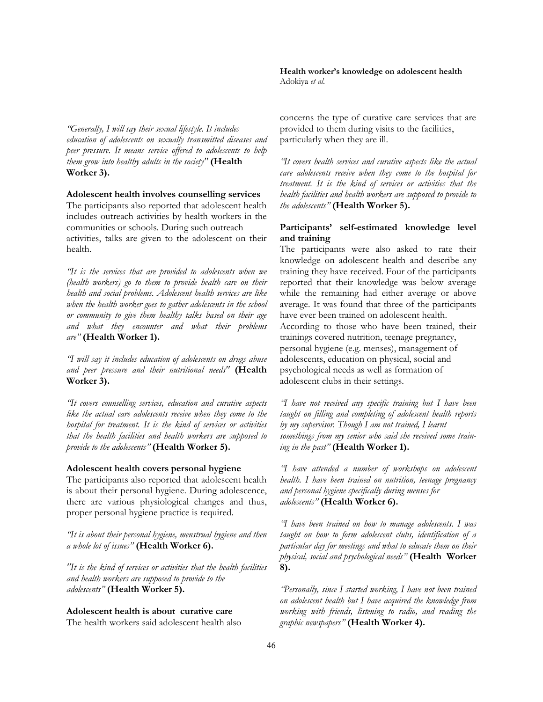*"Generally, I will say their sexual lifestyle. It includes education of adolescents on sexually transmitted diseases and peer pressure. It means service offered to adolescents to help them grow into healthy adults in the society"* **(Health Worker 3).**

**Adolescent health involves counselling services** 

The participants also reported that adolescent health includes outreach activities by health workers in the communities or schools. During such outreach activities, talks are given to the adolescent on their health.

*"It is the services that are provided to adolescents when we (health workers) go to them to provide health care on their health and social problems. Adolescent health services are like when the health worker goes to gather adolescents in the school or community to give them healthy talks based on their age and what they encounter and what their problems are"* **(Health Worker 1).** 

*"I will say it includes education of adolescents on drugs abuse and peer pressure and their nutritional needs"* **(Health Worker 3).** 

*"It covers counselling services, education and curative aspects like the actual care adolescents receive when they come to the hospital for treatment. It is the kind of services or activities that the health facilities and health workers are supposed to provide to the adolescents"* **(Health Worker 5).**

## **Adolescent health covers personal hygiene**

The participants also reported that adolescent health is about their personal hygiene. During adolescence, there are various physiological changes and thus, proper personal hygiene practice is required.

*"It is about their personal hygiene, menstrual hygiene and then a whole lot of issues"* **(Health Worker 6).** 

*"It is the kind of services or activities that the health facilities and health workers are supposed to provide to the adolescents"* **(Health Worker 5).**

**Adolescent health is about curative care** The health workers said adolescent health also **Health worker's knowledge on adolescent health**  Adokiya *et al*.

concerns the type of curative care services that are provided to them during visits to the facilities, particularly when they are ill.

*"It covers health services and curative aspects like the actual care adolescents receive when they come to the hospital for treatment. It is the kind of services or activities that the health facilities and health workers are supposed to provide to the adolescents"* **(Health Worker 5).**

## **Participants' self-estimated knowledge level and training**

The participants were also asked to rate their knowledge on adolescent health and describe any training they have received. Four of the participants reported that their knowledge was below average while the remaining had either average or above average. It was found that three of the participants have ever been trained on adolescent health. According to those who have been trained, their trainings covered nutrition, teenage pregnancy, personal hygiene (e.g. menses), management of adolescents, education on physical, social and psychological needs as well as formation of adolescent clubs in their settings.

*"I have not received any specific training but I have been taught on filling and completing of adolescent health reports by my supervisor. Though I am not trained, I learnt somethings from my senior who said she received some training in the past"* **(Health Worker 1).** 

*"I have attended a number of workshops on adolescent health. I have been trained on nutrition, teenage pregnancy and personal hygiene specifically during menses for adolescents"* **(Health Worker 6).** 

*"I have been trained on how to manage adolescents. I was taught on how to form adolescent clubs, identification of a particular day for meetings and what to educate them on their physical, social and psychological needs"* **(Health Worker 8).** 

*"Personally, since I started working, I have not been trained on adolescent health but I have acquired the knowledge from working with friends, listening to radio, and reading the graphic newspapers"* **(Health Worker 4).**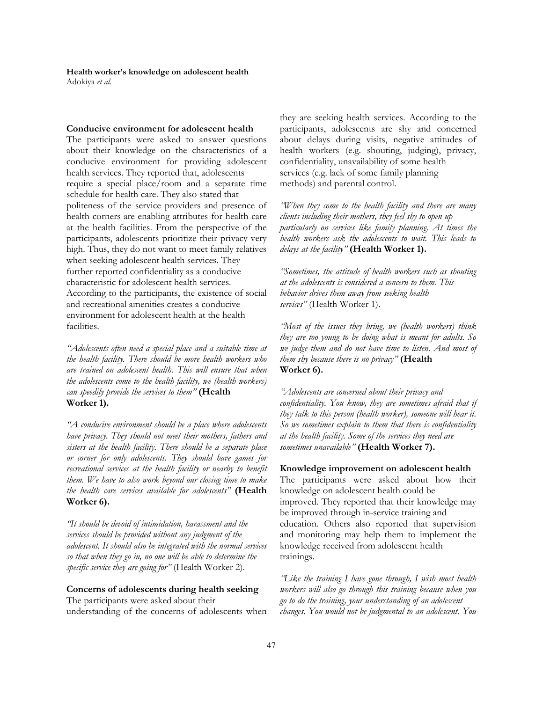#### **Conducive environment for adolescent health**

The participants were asked to answer questions about their knowledge on the characteristics of a conducive environment for providing adolescent health services. They reported that, adolescents require a special place/room and a separate time schedule for health care. They also stated that politeness of the service providers and presence of health corners are enabling attributes for health care at the health facilities. From the perspective of the participants, adolescents prioritize their privacy very high. Thus, they do not want to meet family relatives when seeking adolescent health services. They further reported confidentiality as a conducive characteristic for adolescent health services. According to the participants, the existence of social and recreational amenities creates a conducive environment for adolescent health at the health facilities.

*"Adolescents often need a special place and a suitable time at the health facility. There should be more health workers who are trained on adolescent health. This will ensure that when the adolescents come to the health facility, we (health workers) can speedily provide the services to them"* **(Health Worker 1).** 

*"A conducive environment should be a place where adolescents have privacy. They should not meet their mothers, fathers and sisters at the health facility. There should be a separate place or corner for only adolescents. They should have games for recreational services at the health facility or nearby to benefit them. We have to also work beyond our closing time to make the health care services available for adolescents"* **(Health Worker 6).** 

*"It should be devoid of intimidation, harassment and the services should be provided without any judgment of the adolescent. It should also be integrated with the normal services so that when they go in, no one will be able to determine the specific service they are going for"* (Health Worker 2).

# **Concerns of adolescents during health seeking** The participants were asked about their

understanding of the concerns of adolescents when

they are seeking health services. According to the participants, adolescents are shy and concerned about delays during visits, negative attitudes of health workers (e.g. shouting, judging), privacy, confidentiality, unavailability of some health services (e.g. lack of some family planning methods) and parental control.

*"When they come to the health facility and there are many clients including their mothers, they feel shy to open up particularly on services like family planning. At times the health workers ask the adolescents to wait. This leads to delays at the facility"* **(Health Worker 1).**

*"Sometimes, the attitude of health workers such as shouting at the adolescents is considered a concern to them. This behavior drives them away from seeking health services"* (Health Worker 1).

*"Most of the issues they bring, we (health workers) think they are too young to be doing what is meant for adults. So we judge them and do not have time to listen. And most of them shy because there is no privacy"* **(Health Worker 6).** 

*"Adolescents are concerned about their privacy and confidentiality. You know, they are sometimes afraid that if they talk to this person (health worker), someone will hear it. So we sometimes explain to them that there is confidentiality at the health facility. Some of the services they need are sometimes unavailable"* **(Health Worker 7).**

**Knowledge improvement on adolescent health** The participants were asked about how their knowledge on adolescent health could be improved. They reported that their knowledge may be improved through in-service training and education. Others also reported that supervision and monitoring may help them to implement the knowledge received from adolescent health trainings.

*"Like the training I have gone through, I wish most health workers will also go through this training because when you go to do the training, your understanding of an adolescent changes. You would not be judgmental to an adolescent. You*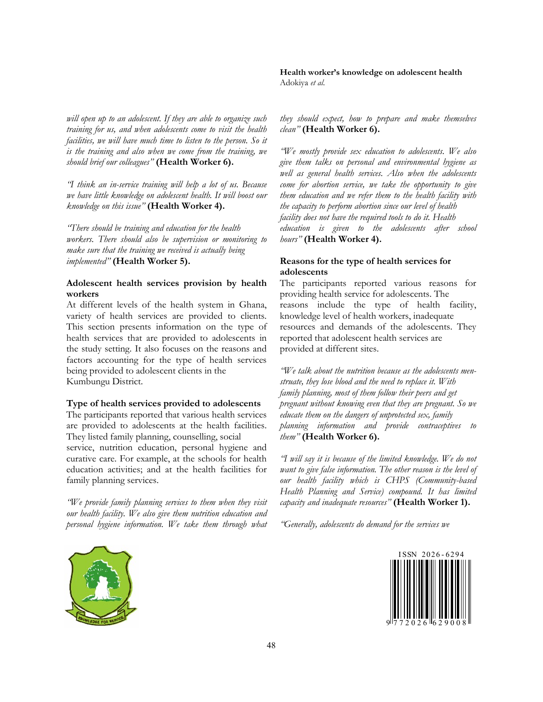*will open up to an adolescent. If they are able to organize such training for us, and when adolescents come to visit the health facilities, we will have much time to listen to the person. So it is the training and also when we come from the training, we should brief our colleagues"* **(Health Worker 6).** 

*"I think an in-service training will help a lot of us. Because we have little knowledge on adolescent health. It will boost our knowledge on this issue"* **(Health Worker 4).** 

*"There should be training and education for the health workers. There should also be supervision or monitoring to make sure that the training we received is actually being implemented"* **(Health Worker 5).**

# **Adolescent health services provision by health workers**

At different levels of the health system in Ghana, variety of health services are provided to clients. This section presents information on the type of health services that are provided to adolescents in the study setting. It also focuses on the reasons and factors accounting for the type of health services being provided to adolescent clients in the Kumbungu District.

### **Type of health services provided to adolescents**

The participants reported that various health services are provided to adolescents at the health facilities. They listed family planning, counselling, social service, nutrition education, personal hygiene and curative care. For example, at the schools for health education activities; and at the health facilities for

family planning services. *"We provide family planning services to them when they visit* 

*our health facility. We also give them nutrition education and personal hygiene information. We take them through what* 

**Health worker's knowledge on adolescent health**  Adokiya *et al*.

*they should expect, how to prepare and make themselves clean"* **(Health Worker 6).** 

*"We mostly provide sex education to adolescents. We also give them talks on personal and environmental hygiene as well as general health services. Also when the adolescents come for abortion service, we take the opportunity to give them education and we refer them to the health facility with the capacity to perform abortion since our level of health facility does not have the required tools to do it. Health education is given to the adolescents after school hours"* **(Health Worker 4).**

## **Reasons for the type of health services for adolescents**

The participants reported various reasons for providing health service for adolescents. The reasons include the type of health facility, knowledge level of health workers, inadequate resources and demands of the adolescents. They reported that adolescent health services are provided at different sites.

*"We talk about the nutrition because as the adolescents menstruate, they lose blood and the need to replace it. With family planning, most of them follow their peers and get pregnant without knowing even that they are pregnant. So we educate them on the dangers of unprotected sex, family planning information and provide contraceptives to them"* **(Health Worker 6).** 

*"I will say it is because of the limited knowledge. We do not want to give false information. The other reason is the level of our health facility which is CHPS (Community-based Health Planning and Service) compound. It has limited capacity and inadequate resources"* **(Health Worker 1).** 

*"Generally, adolescents do demand for the services we* 



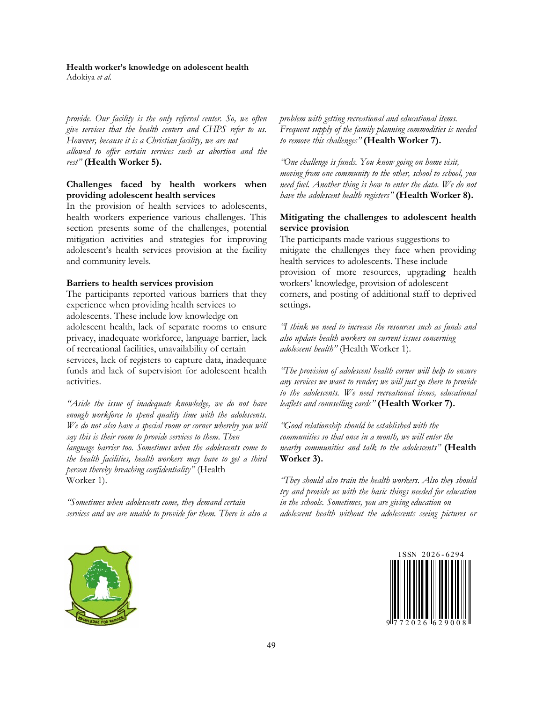#### **Health worker's knowledge on adolescent health**

Adokiya *et al*.

*provide. Our facility is the only referral center. So, we often give services that the health centers and CHPS refer to us. However, because it is a Christian facility, we are not allowed to offer certain services such as abortion and the rest"* **(Health Worker 5).**

## **Challenges faced by health workers when providing adolescent health services**

In the provision of health services to adolescents, health workers experience various challenges. This section presents some of the challenges, potential mitigation activities and strategies for improving adolescent's health services provision at the facility and community levels.

## **Barriers to health services provision**

The participants reported various barriers that they experience when providing health services to adolescents. These include low knowledge on adolescent health, lack of separate rooms to ensure privacy, inadequate workforce, language barrier, lack of recreational facilities, unavailability of certain services, lack of registers to capture data, inadequate funds and lack of supervision for adolescent health activities.

*"Aside the issue of inadequate knowledge, we do not have enough workforce to spend quality time with the adolescents. We do not also have a special room or corner whereby you will say this is their room to provide services to them. Then language barrier too. Sometimes when the adolescents come to the health facilities, health workers may have to get a third person thereby breaching confidentiality"* (Health Worker 1).

*"Sometimes when adolescents come, they demand certain services and we are unable to provide for them. There is also a*  *problem with getting recreational and educational items. Frequent supply of the family planning commodities is needed to remove this challenges"* **(Health Worker 7).** 

*"One challenge is funds. You know going on home visit, moving from one community to the other, school to school, you need fuel. Another thing is how to enter the data. We do not have the adolescent health registers"* **(Health Worker 8).**

# **Mitigating the challenges to adolescent health service provision**

The participants made various suggestions to mitigate the challenges they face when providing health services to adolescents. These include provision of more resources, upgradin**g** health workers' knowledge, provision of adolescent corners, and posting of additional staff to deprived settings**.** 

*"I think we need to increase the resources such as funds and also update health workers on current issues concerning adolescent health"* (Health Worker 1).

*"The provision of adolescent health corner will help to ensure any services we want to render; we will just go there to provide to the adolescents. We need recreational items, educational leaflets and counselling cards"* **(Health Worker 7).** 

*"Good relationship should be established with the communities so that once in a month, we will enter the nearby communities and talk to the adolescents"* **(Health Worker 3).** 

*"They should also train the health workers. Also they should try and provide us with the basic things needed for education in the schools. Sometimes, you are giving education on adolescent health without the adolescents seeing pictures or* 





9 1 7 7 2 0 2 6 1 6 2 9 0 0 8 1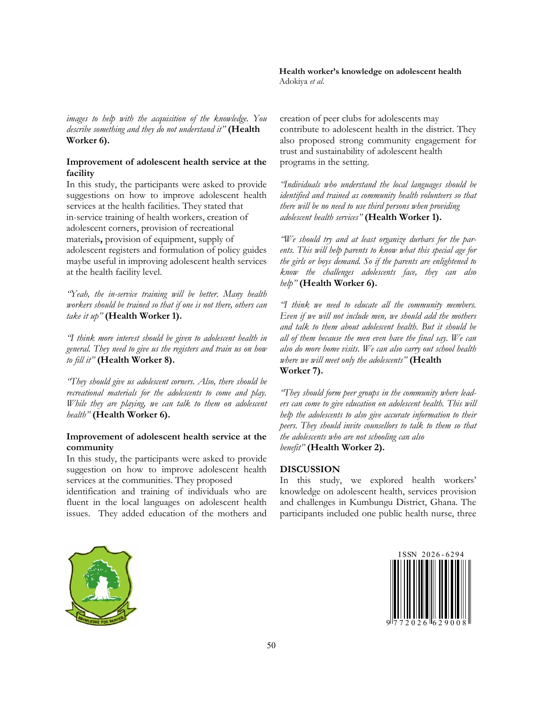*images to help with the acquisition of the knowledge. You describe something and they do not understand it"* **(Health Worker 6).**

## **Improvement of adolescent health service at the facility**

In this study, the participants were asked to provide suggestions on how to improve adolescent health services at the health facilities. They stated that in-service training of health workers, creation of adolescent corners, provision of recreational materials**,** provision of equipment, supply of adolescent registers and formulation of policy guides maybe useful in improving adolescent health services at the health facility level.

*"Yeah, the in-service training will be better. Many health workers should be trained so that if one is not there, others can take it up"* **(Health Worker 1).** 

*"I think more interest should be given to adolescent health in general. They need to give us the registers and train us on how to fill it"* **(Health Worker 8).**

*"They should give us adolescent corners. Also, there should be recreational materials for the adolescents to come and play. While they are playing, we can talk to them on adolescent health"* **(Health Worker 6).**

## **Improvement of adolescent health service at the community**

In this study, the participants were asked to provide suggestion on how to improve adolescent health services at the communities. They proposed

identification and training of individuals who are fluent in the local languages on adolescent health issues. They added education of the mothers and creation of peer clubs for adolescents may contribute to adolescent health in the district. They also proposed strong community engagement for trust and sustainability of adolescent health programs in the setting.

*"Individuals who understand the local languages should be identified and trained as community health volunteers so that there will be no need to use third persons when providing adolescent health services"* **(Health Worker 1).** 

*"We should try and at least organize durbars for the parents. This will help parents to know what this special age for the girls or boys demand. So if the parents are enlightened to know the challenges adolescents face, they can also help"* **(Health Worker 6).** 

*"I think we need to educate all the community members. Even if we will not include men, we should add the mothers and talk to them about adolescent health. But it should be all of them because the men even have the final say. We can also do more home visits. We can also carry out school health where we will meet only the adolescents"* **(Health Worker 7).** 

*"They should form peer groups in the community where leaders can come to give education on adolescent health. This will help the adolescents to also give accurate information to their peers. They should invite counsellors to talk to them so that the adolescents who are not schooling can also benefit"* **(Health Worker 2).**

## **DISCUSSION**

In this study, we explored health workers' knowledge on adolescent health, services provision and challenges in Kumbungu District, Ghana. The participants included one public health nurse, three



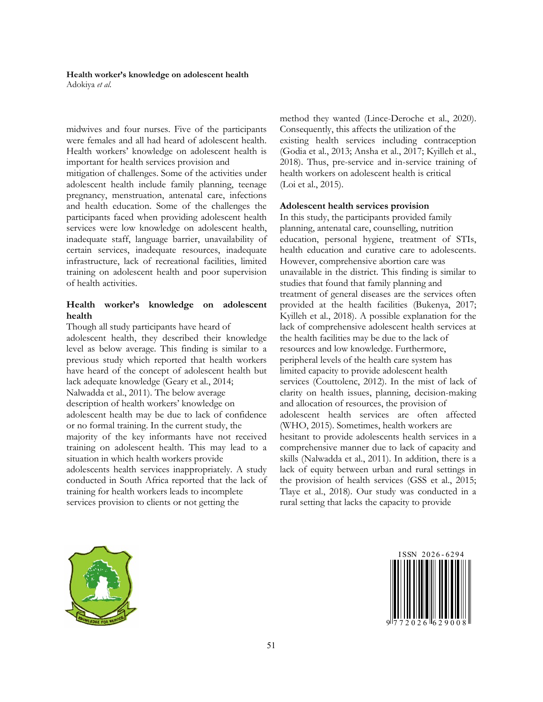midwives and four nurses. Five of the participants were females and all had heard of adolescent health. Health workers' knowledge on adolescent health is important for health services provision and

mitigation of challenges. Some of the activities under adolescent health include family planning, teenage pregnancy, menstruation, antenatal care, infections and health education. Some of the challenges the participants faced when providing adolescent health services were low knowledge on adolescent health, inadequate staff, language barrier, unavailability of certain services, inadequate resources, inadequate infrastructure, lack of recreational facilities, limited training on adolescent health and poor supervision of health activities.

# **Health worker's knowledge on adolescent health**

Though all study participants have heard of adolescent health, they described their knowledge level as below average. This finding is similar to a previous study which reported that health workers have heard of the concept of adolescent health but lack adequate knowledge (Geary et al., 2014; Nalwadda et al., 2011). The below average description of health workers' knowledge on adolescent health may be due to lack of confidence or no formal training. In the current study, the majority of the key informants have not received training on adolescent health. This may lead to a situation in which health workers provide adolescents health services inappropriately. A study conducted in South Africa reported that the lack of training for health workers leads to incomplete services provision to clients or not getting the

method they wanted (Lince-Deroche et al., 2020). Consequently, this affects the utilization of the existing health services including contraception (Godia et al., 2013; Ansha et al., 2017; Kyilleh et al., 2018). Thus, pre-service and in-service training of health workers on adolescent health is critical (Loi et al., 2015).

#### **Adolescent health services provision**

In this study, the participants provided family planning, antenatal care, counselling, nutrition education, personal hygiene, treatment of STIs, health education and curative care to adolescents. However, comprehensive abortion care was unavailable in the district. This finding is similar to studies that found that family planning and treatment of general diseases are the services often provided at the health facilities (Bukenya, 2017; Kyilleh et al., 2018). A possible explanation for the lack of comprehensive adolescent health services at the health facilities may be due to the lack of resources and low knowledge. Furthermore, peripheral levels of the health care system has limited capacity to provide adolescent health services (Couttolenc, 2012). In the mist of lack of clarity on health issues, planning, decision-making and allocation of resources, the provision of adolescent health services are often affected (WHO, 2015). Sometimes, health workers are hesitant to provide adolescents health services in a comprehensive manner due to lack of capacity and skills (Nalwadda et al., 2011). In addition, there is a lack of equity between urban and rural settings in the provision of health services (GSS et al., 2015; Tlaye et al., 2018). Our study was conducted in a rural setting that lacks the capacity to provide



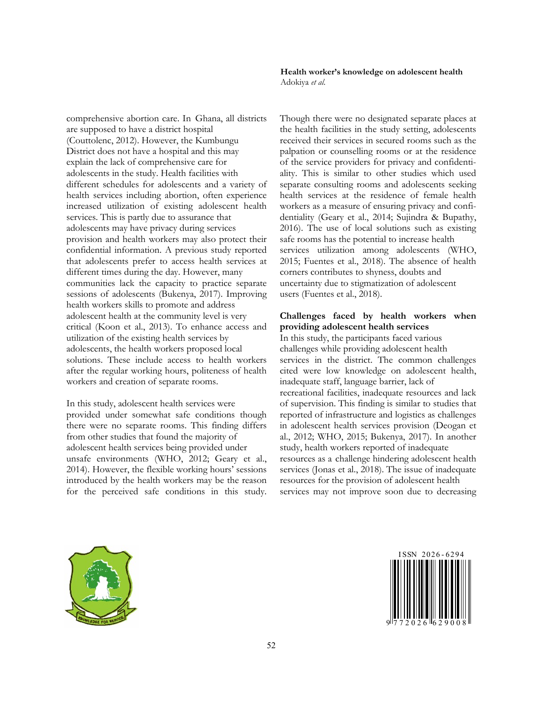comprehensive abortion care. In Ghana, all districts are supposed to have a district hospital (Couttolenc, 2012). However, the Kumbungu District does not have a hospital and this may explain the lack of comprehensive care for adolescents in the study. Health facilities with different schedules for adolescents and a variety of health services including abortion, often experience increased utilization of existing adolescent health services. This is partly due to assurance that adolescents may have privacy during services provision and health workers may also protect their confidential information. A previous study reported that adolescents prefer to access health services at different times during the day. However, many communities lack the capacity to practice separate sessions of adolescents (Bukenya, 2017). Improving health workers skills to promote and address adolescent health at the community level is very critical (Koon et al., 2013). To enhance access and utilization of the existing health services by adolescents, the health workers proposed local solutions. These include access to health workers after the regular working hours, politeness of health workers and creation of separate rooms.

In this study, adolescent health services were provided under somewhat safe conditions though there were no separate rooms. This finding differs from other studies that found the majority of adolescent health services being provided under unsafe environments (WHO, 2012; Geary et al., 2014). However, the flexible working hours' sessions introduced by the health workers may be the reason for the perceived safe conditions in this study. **Health worker's knowledge on adolescent health**  Adokiya *et al*.

Though there were no designated separate places at the health facilities in the study setting, adolescents received their services in secured rooms such as the palpation or counselling rooms or at the residence of the service providers for privacy and confidentiality. This is similar to other studies which used separate consulting rooms and adolescents seeking health services at the residence of female health workers as a measure of ensuring privacy and confidentiality (Geary et al., 2014; Sujindra & Bupathy, 2016). The use of local solutions such as existing safe rooms has the potential to increase health services utilization among adolescents (WHO, 2015; Fuentes et al., 2018). The absence of health corners contributes to shyness, doubts and uncertainty due to stigmatization of adolescent users (Fuentes et al., 2018).

## **Challenges faced by health workers when providing adolescent health services**

In this study, the participants faced various challenges while providing adolescent health services in the district. The common challenges cited were low knowledge on adolescent health, inadequate staff, language barrier, lack of recreational facilities, inadequate resources and lack of supervision. This finding is similar to studies that reported of infrastructure and logistics as challenges in adolescent health services provision (Deogan et al., 2012; WHO, 2015; Bukenya, 2017). In another study, health workers reported of inadequate resources as a challenge hindering adolescent health services (Jonas et al., 2018). The issue of inadequate resources for the provision of adolescent health services may not improve soon due to decreasing



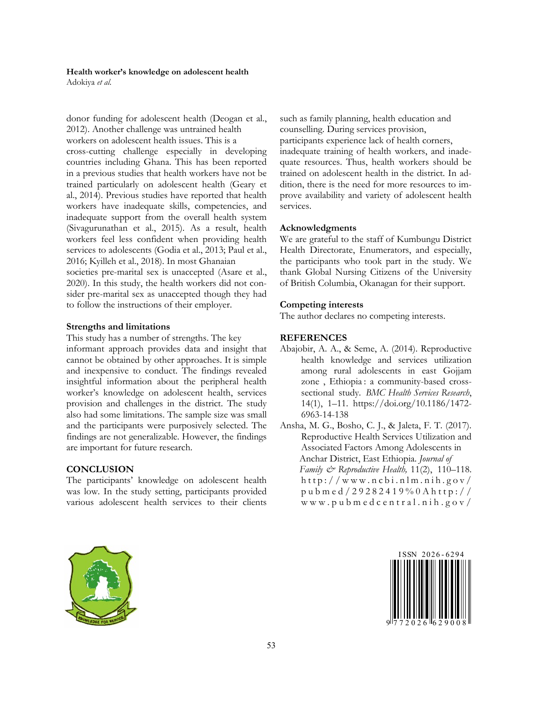donor funding for adolescent health (Deogan et al., 2012). Another challenge was untrained health workers on adolescent health issues. This is a cross-cutting challenge especially in developing countries including Ghana. This has been reported in a previous studies that health workers have not be trained particularly on adolescent health (Geary et al., 2014). Previous studies have reported that health workers have inadequate skills, competencies, and inadequate support from the overall health system (Sivagurunathan et al., 2015). As a result, health workers feel less confident when providing health services to adolescents (Godia et al., 2013; Paul et al., 2016; Kyilleh et al., 2018). In most Ghanaian

societies pre-marital sex is unaccepted (Asare et al., 2020). In this study, the health workers did not consider pre-marital sex as unaccepted though they had to follow the instructions of their employer.

#### **Strengths and limitations**

This study has a number of strengths. The key informant approach provides data and insight that cannot be obtained by other approaches. It is simple and inexpensive to conduct. The findings revealed insightful information about the peripheral health worker's knowledge on adolescent health, services provision and challenges in the district. The study also had some limitations. The sample size was small and the participants were purposively selected. The findings are not generalizable. However, the findings are important for future research.

### **CONCLUSION**

The participants' knowledge on adolescent health was low. In the study setting, participants provided various adolescent health services to their clients such as family planning, health education and counselling. During services provision, participants experience lack of health corners, inadequate training of health workers, and inadequate resources. Thus, health workers should be trained on adolescent health in the district. In addition, there is the need for more resources to improve availability and variety of adolescent health services.

### **Acknowledgments**

We are grateful to the staff of Kumbungu District Health Directorate, Enumerators, and especially, the participants who took part in the study. We thank Global Nursing Citizens of the University of British Columbia, Okanagan for their support.

### **Competing interests**

The author declares no competing interests.

#### **REFERENCES**

- Abajobir, A. A., & Seme, A. (2014). Reproductive health knowledge and services utilization among rural adolescents in east Gojjam zone , Ethiopia : a community-based crosssectional study. *BMC Health Services Research*, 14(1), 1–11. https://doi.org/10.1186/1472- 6963-14-138
- Ansha, M. G., Bosho, C. J., & Jaleta, F. T. (2017). Reproductive Health Services Utilization and Associated Factors Among Adolescents in Anchar District, East Ethiopia. *Journal of Family & Reproductive Health,* 11(2), 110–118.  $http://www.ncbi.nlm.nih.gov/$ p u b m e d / 2 9 2 8 2 4 1 9 % 0 A h t t p : / / w w w . p u b m e d c e n t r a l . n i h . g o v /



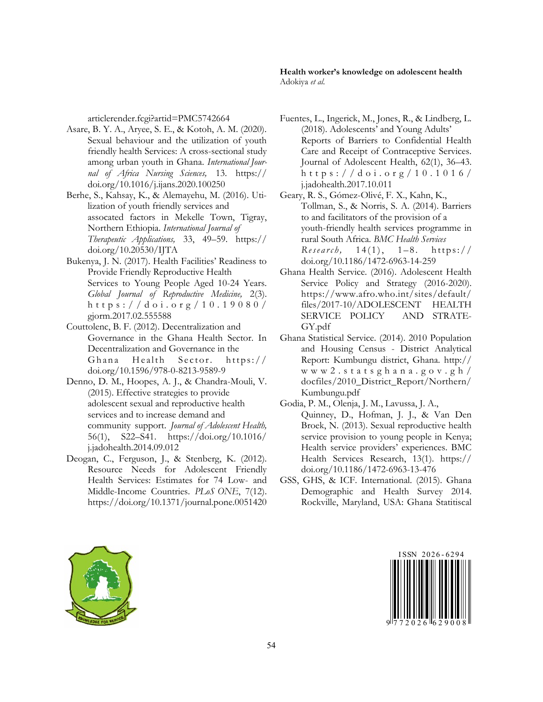articlerender.fcgi?artid=PMC5742664

- Asare, B. Y. A., Aryee, S. E., & Kotoh, A. M. (2020). Sexual behaviour and the utilization of youth friendly health Services: A cross-sectional study among urban youth in Ghana. *International Journal of Africa Nursing Sciences,* 13. https:// doi.org/10.1016/j.ijans.2020.100250
- Berhe, S., Kahsay, K., & Alemayehu, M. (2016). Utilization of youth friendly services and assocated factors in Mekelle Town, Tigray, Northern Ethiopia. *International Journal of Therapeutic Applications,* 33, 49–59. https:// doi.org/10.20530/IJTA
- Bukenya, J. N. (2017). Health Facilities' Readiness to Provide Friendly Reproductive Health Services to Young People Aged 10-24 Years. *Global Journal of Reproductive Medicine,* 2(3). h t t p s : / / d o i . o r g / 1 0 . 1 9 0 8 0 / gjorm.2017.02.555588
- Couttolenc, B. F. (2012). Decentralization and Governance in the Ghana Health Sector. In Decentralization and Governance in the Ghana Health Sector. https:// doi.org/10.1596/978-0-8213-9589-9
- Denno, D. M., Hoopes, A. J., & Chandra-Mouli, V. (2015). Effective strategies to provide adolescent sexual and reproductive health services and to increase demand and community support. *Journal of Adolescent Health,* 56(1), S22–S41. https://doi.org/10.1016/ j.jadohealth.2014.09.012
- Deogan, C., Ferguson, J., & Stenberg, K. (2012). Resource Needs for Adolescent Friendly Health Services: Estimates for 74 Low- and Middle-Income Countries. *PLoS ONE*, 7(12). https://doi.org/10.1371/journal.pone.0051420
- Fuentes, L., Ingerick, M., Jones, R., & Lindberg, L. (2018). Adolescents' and Young Adults' Reports of Barriers to Confidential Health Care and Receipt of Contraceptive Services. Journal of Adolescent Health, 62(1), 36–43. h t t p s : / / d o i . o r g / 1 0 . 1 0 1 6 / j.jadohealth.2017.10.011
- Geary, R. S., Gómez-Olivé, F. X., Kahn, K., Tollman, S., & Norris, S. A. (2014). Barriers to and facilitators of the provision of a youth-friendly health services programme in rural South Africa. *BMC Health Services Research*, 14(1), 1–8. https:// doi.org/10.1186/1472-6963-14-259
- Ghana Health Service. (2016). Adolescent Health Service Policy and Strategy (2016-2020). https://www.afro.who.int/sites/default/ files/2017-10/ADOLESCENT HEALTH SERVICE POLICY AND STRATE-GY.pdf
- Ghana Statistical Service. (2014). 2010 Population and Housing Census - District Analytical Report: Kumbungu district, Ghana. http:// w w w 2 . s t a t s g h a n a . g o v . g h / docfiles/2010\_District\_Report/Northern/ Kumbungu.pdf
- Godia, P. M., Olenja, J. M., Lavussa, J. A., Quinney, D., Hofman, J. J., & Van Den Broek, N. (2013). Sexual reproductive health service provision to young people in Kenya; Health service providers' experiences. BMC Health Services Research, 13(1). https:// doi.org/10.1186/1472-6963-13-476
- GSS, GHS, & ICF. International. (2015). Ghana Demographic and Health Survey 2014. Rockville, Maryland, USA: Ghana Statitiscal



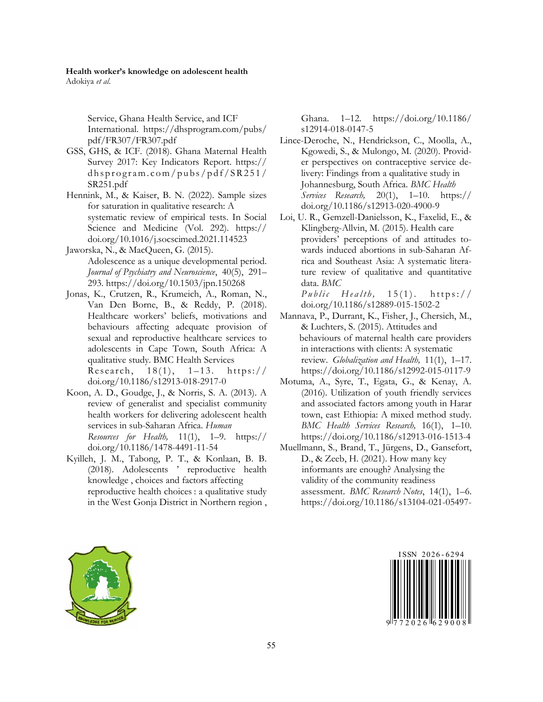# **Health worker's knowledge on adolescent health**

Adokiya *et al*.

Service, Ghana Health Service, and ICF International. https://dhsprogram.com/pubs/ pdf/FR307/FR307.pdf

- GSS, GHS, & ICF. (2018). Ghana Maternal Health Survey 2017: Key Indicators Report. https://  $dh$ s program.com/pubs/pdf/SR251/ SR251.pdf
- Hennink, M., & Kaiser, B. N. (2022). Sample sizes for saturation in qualitative research: A systematic review of empirical tests. In Social Science and Medicine (Vol. 292). https:// doi.org/10.1016/j.socscimed.2021.114523
- Jaworska, N., & MacQueen, G. (2015). Adolescence as a unique developmental period. *Journal of Psychiatry and Neuroscience*, 40(5), 291– 293. https://doi.org/10.1503/jpn.150268
- Jonas, K., Crutzen, R., Krumeich, A., Roman, N., Van Den Borne, B., & Reddy, P. (2018). Healthcare workers' beliefs, motivations and behaviours affecting adequate provision of sexual and reproductive healthcare services to adolescents in Cape Town, South Africa: A qualitative study. BMC Health Services Research,  $18(1)$ ,  $1-13$ . https:// doi.org/10.1186/s12913-018-2917-0
- Koon, A. D., Goudge, J., & Norris, S. A. (2013). A review of generalist and specialist community health workers for delivering adolescent health services in sub-Saharan Africa. *Human Resources for Health,* 11(1), 1–9. https:// doi.org/10.1186/1478-4491-11-54
- Kyilleh, J. M., Tabong, P. T., & Konlaan, B. B. (2018). Adolescents ' reproductive health knowledge , choices and factors affecting reproductive health choices : a qualitative study in the West Gonja District in Northern region ,

Ghana. 1–12. https://doi.org/10.1186/ s12914-018-0147-5

- Lince-Deroche, N., Hendrickson, C., Moolla, A., Kgowedi, S., & Mulongo, M. (2020). Provider perspectives on contraceptive service delivery: Findings from a qualitative study in Johannesburg, South Africa. *BMC Health Services Research,* 20(1), 1–10. https:// doi.org/10.1186/s12913-020-4900-9
- Loi, U. R., Gemzell-Danielsson, K., Faxelid, E., & Klingberg-Allvin, M. (2015). Health care providers' perceptions of and attitudes towards induced abortions in sub-Saharan Africa and Southeast Asia: A systematic literature review of qualitative and quantitative data. *BMC*

*Public Health*, 15(1). https:// doi.org/10.1186/s12889-015-1502-2

- Mannava, P., Durrant, K., Fisher, J., Chersich, M., & Luchters, S. (2015). Attitudes and behaviours of maternal health care providers in interactions with clients: A systematic review. *Globalization and Health,* 11(1), 1–17. https://doi.org/10.1186/s12992-015-0117-9
- Motuma, A., Syre, T., Egata, G., & Kenay, A. (2016). Utilization of youth friendly services and associated factors among youth in Harar town, east Ethiopia: A mixed method study. *BMC Health Services Research,* 16(1), 1–10. https://doi.org/10.1186/s12913-016-1513-4
- Muellmann, S., Brand, T., Jürgens, D., Gansefort, D., & Zeeb, H. (2021). How many key informants are enough? Analysing the validity of the community readiness assessment. *BMC Research Notes*, 14(1), 1–6. https://doi.org/10.1186/s13104-021-05497-





9 1 7 7 2 0 2 6 1 6 2 9 0 0 8 1